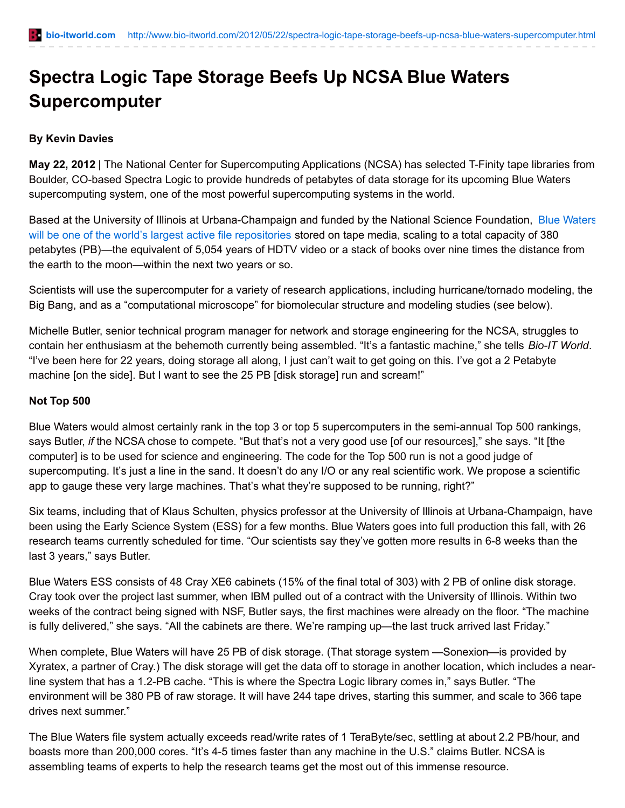# **Spectra Logic Tape Storage Beefs Up NCSA Blue Waters Supercomputer**

## **By Kevin Davies**

**May 22, 2012** | The National Center for Supercomputing Applications (NCSA) has selected T-Finity tape libraries from Boulder, CO-based Spectra Logic to provide hundreds of petabytes of data storage for its upcoming Blue Waters supercomputing system, one of the most powerful supercomputing systems in the world.

Based at the University of Illinois at [Urbana-Champaign](http://www.ncsa.illinois.edu/BlueWaters/) and funded by the National Science Foundation, Blue Waters will be one of the world's largest active file repositories stored on tape media, scaling to a total capacity of 380 petabytes (PB)—the equivalent of 5,054 years of HDTV video or a stack of books over nine times the distance from the earth to the moon—within the next two years or so.

Scientists will use the supercomputer for a variety of research applications, including hurricane/tornado modeling, the Big Bang, and as a "computational microscope" for biomolecular structure and modeling studies (see below).

Michelle Butler, senior technical program manager for network and storage engineering for the NCSA, struggles to contain her enthusiasm at the behemoth currently being assembled. "It's a fantastic machine," she tells *Bio-IT World*. "I've been here for 22 years, doing storage all along, I just can't wait to get going on this. I've got a 2 Petabyte machine [on the side]. But I want to see the 25 PB [disk storage] run and scream!"

#### **Not Top 500**

Blue Waters would almost certainly rank in the top 3 or top 5 supercomputers in the semi-annual Top 500 rankings, says Butler, *if* the NCSA chose to compete. "But that's not a very good use [of our resources]," she says. "It [the computer] is to be used for science and engineering. The code for the Top 500 run is not a good judge of supercomputing. It's just a line in the sand. It doesn't do any I/O or any real scientific work. We propose a scientific app to gauge these very large machines. That's what they're supposed to be running, right?"

Six teams, including that of Klaus Schulten, physics professor at the University of Illinois at Urbana-Champaign, have been using the Early Science System (ESS) for a few months. Blue Waters goes into full production this fall, with 26 research teams currently scheduled for time. "Our scientists say they've gotten more results in 6-8 weeks than the last 3 years," says Butler.

Blue Waters ESS consists of 48 Cray XE6 cabinets (15% of the final total of 303) with 2 PB of online disk storage. Cray took over the project last summer, when IBM pulled out of a contract with the University of Illinois. Within two weeks of the contract being signed with NSF, Butler says, the first machines were already on the floor. "The machine is fully delivered," she says. "All the cabinets are there. We're ramping up—the last truck arrived last Friday."

When complete, Blue Waters will have 25 PB of disk storage. (That storage system -Sonexion-is provided by Xyratex, a partner of Cray.) The disk storage will get the data off to storage in another location, which includes a nearline system that has a 1.2-PB cache. "This is where the Spectra Logic library comes in," says Butler. "The environment will be 380 PB of raw storage. It will have 244 tape drives, starting this summer, and scale to 366 tape drives next summer."

The Blue Waters file system actually exceeds read/write rates of 1 TeraByte/sec, settling at about 2.2 PB/hour, and boasts more than 200,000 cores. "It's 4-5 times faster than any machine in the U.S." claims Butler. NCSA is assembling teams of experts to help the research teams get the most out of this immense resource.